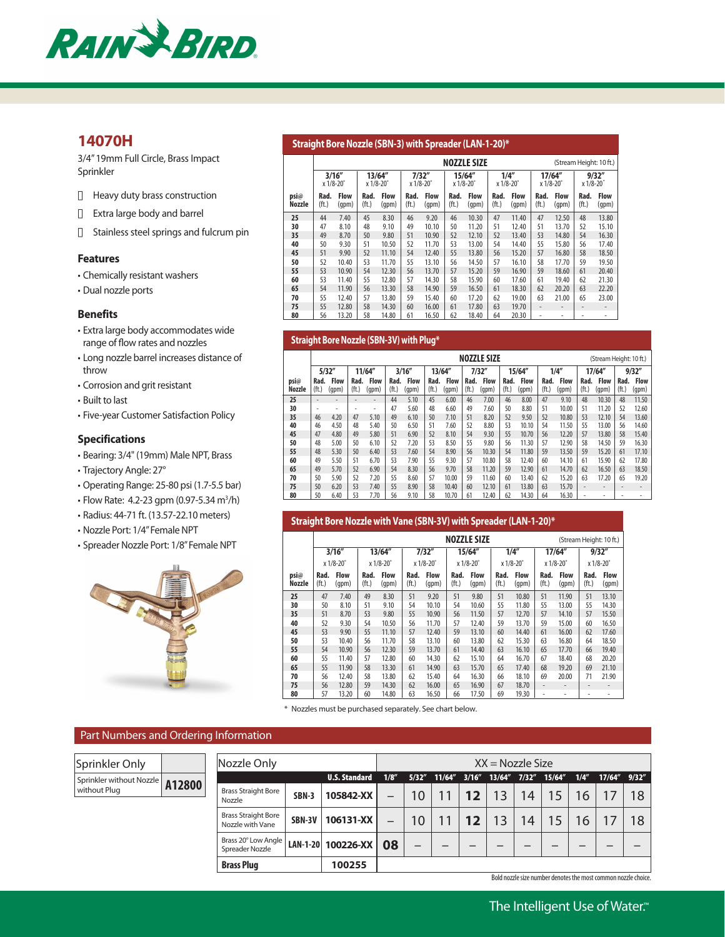

# **14070H**

3/4" 19mm Full Circle, Brass Impact Sprinkler

- $\Box$  Heavy duty brass construction
- n Extra large body and barrel
- $\Box$  Stainless steel springs and fulcrum pin

#### **Features**

- Chemically resistant washers
- Dual nozzle ports

#### **Benefits**

- Extra large body accommodates wide range of flow rates and nozzles
- Long nozzle barrel increases distance of throw
- Corrosion and grit resistant
- Built to last

• Five-year Customer Satisfaction Policy

### **Specifications**

- Bearing: 3/4" (19mm) Male NPT, Brass
- Trajectory Angle: 27°
- Operating Range: 25-80 psi (1.7-5.5 bar)
- Flow Rate: 4.2-23 gpm (0.97-5.34 m<sup>3</sup>/h)
- Radius: 44-71 ft. (13.57-22.10 meters)
- Nozzle Port: 1/4" Female NPT
- Spreader Nozzle Port: 1/8" Female NPT



#### **Straight Bore Nozzle (SBN-3) with Spreader (LAN-1-20)\***

|                       |                     |                      |               |                      |                  |                      |               | <b>NOZZLE SIZE</b>   |                           |                      |                          |                      | (Stream Height: 10 ft.)   |                          |
|-----------------------|---------------------|----------------------|---------------|----------------------|------------------|----------------------|---------------|----------------------|---------------------------|----------------------|--------------------------|----------------------|---------------------------|--------------------------|
|                       | 3/16''<br>x 1/8-20° |                      | x 1/8-20°     | 13/64''              | $x 1/8-20^\circ$ | 7/32''               | x 1/8-20°     | 15/64''              | x 1/8-20°                 | 1/4''                | x 1/8-20°                | 17/64''              | x 1/8-20                  | 9/32''                   |
| psi@<br><b>Nozzle</b> | Rad.<br>(ft.)       | <b>Flow</b><br>(gpm) | Rad.<br>(ft.) | <b>Flow</b><br>(qpm) | Rad.<br>(ft.)    | <b>Flow</b><br>(gpm) | Rad.<br>(ft.) | <b>Flow</b><br>(gpm) | Rad.<br>(f <sub>t</sub> ) | <b>Flow</b><br>(gpm) | Rad.<br>(ft.)            | <b>Flow</b><br>(qpm) | Rad.<br>(f <sub>t</sub> ) | <b>Flow</b><br>(qpm)     |
| 25                    | 44                  | 7.40                 | 45            | 8.30                 | 46               | 9.20                 | 46            | 10.30                | 47                        | 11.40                | 47                       | 12.50                | 48                        | 13.80                    |
| 30                    | 47                  | 8.10                 | 48            | 9.10                 | 49               | 10.10                | 50            | 11.20                | 51                        | 12.40                | 51                       | 13.70                | 52                        | 15.10                    |
| 35                    | 49                  | 8.70                 | 50            | 9.80                 | 51               | 10.90                | 52            | 12.10                | 52                        | 13.40                | 53                       | 14.80                | 54                        | 16.30                    |
| 40                    | 50                  | 9.30                 | 51            | 10.50                | 52               | 11.70                | 53            | 13.00                | 54                        | 14.40                | 55                       | 15.80                | 56                        | 17.40                    |
| 45                    | 51                  | 9.90                 | 52            | 11.10                | 54               | 12.40                | 55            | 13.80                | 56                        | 15.20                | 57                       | 16.80                | 58                        | 18.50                    |
| 50                    | 52                  | 10.40                | 53            | 11.70                | 55               | 13.10                | 56            | 14.50                | 57                        | 16.10                | 58                       | 17.70                | 59                        | 19.50                    |
| 55                    | 53                  | 10.90                | 54            | 12.30                | 56               | 13.70                | 57            | 15.20                | 59                        | 16.90                | 59                       | 18.60                | 61                        | 20.40                    |
| 60                    | 53                  | 11.40                | 55            | 12.80                | 57               | 14.30                | 58            | 15.90                | 60                        | 17.60                | 61                       | 19.40                | 62                        | 21.30                    |
| 65                    | 54                  | 11.90                | 56            | 13.30                | 58               | 14.90                | 59            | 16.50                | 61                        | 18.30                | 62                       | 20.20                | 63                        | 22.20                    |
| 70                    | 55                  | 12.40                | 57            | 13.80                | 59               | 15.40                | 60            | 17.20                | 62                        | 19.00                | 63                       | 21.00                | 65                        | 23.00                    |
| 75                    | 55                  | 12.80                | 58            | 14.30                | 60               | 16.00                | 61            | 17.80                | 63                        | 19.70                | $\overline{\phantom{a}}$ | ۰                    | $\overline{\phantom{a}}$  | $\overline{\phantom{a}}$ |
| 80                    | 56                  | 13.20                | 58            | 14.80                | 61               | 16.50                | 62            | 18.40                | 64                        | 20.30                | ٠                        | ٠                    | ٠                         | ٠                        |

#### **Straight Bore Nozzle (SBN-3V) with Plug\***

|                |                           |                      |               |                      |               |                      |                           |                      |               | <b>NOZZLE SIZE</b>   |                           |                      |               |                      |                          | (Stream Height: 10 ft.) |               |                      |
|----------------|---------------------------|----------------------|---------------|----------------------|---------------|----------------------|---------------------------|----------------------|---------------|----------------------|---------------------------|----------------------|---------------|----------------------|--------------------------|-------------------------|---------------|----------------------|
|                |                           | 5/32''               |               | 11/64''              |               | 3/16''               |                           | 13/64"               |               | 7/32''               |                           | 15/64''              |               | 1/4''                |                          | 17/64"                  |               | 9/32''               |
| psi@<br>Nozzle | Rad.<br>(f <sub>t</sub> ) | <b>Flow</b><br>(gpm) | Rad.<br>(ft.) | <b>Flow</b><br>(gpm) | Rad.<br>(ft.) | <b>Flow</b><br>(gpm) | Rad.<br>(f <sub>t</sub> ) | <b>Flow</b><br>(gpm) | Rad.<br>(ft.) | <b>Flow</b><br>(gpm) | Rad.<br>(f <sub>t</sub> ) | <b>Flow</b><br>(gpm) | Rad.<br>(ft.) | <b>Flow</b><br>(gpm) | Rad.<br>(ft.)            | <b>Flow</b><br>(gpm)    | Rad.<br>(ft.) | <b>Flow</b><br>(gpm) |
| 25             | -                         |                      |               |                      | 44            | 5.10                 | 45                        | 6.00                 | 46            | 7.00                 | 46                        | 8.00                 | 47            | 9.10                 | 48                       | 10.30                   | 48            | 11.50                |
| 30             | ۰                         | ٠                    |               | ۰                    | 47            | 5.60                 | 48                        | 6.60                 | 49            | 7.60                 | 50                        | 8.80                 | 51            | 10.00                | 51                       | 11.20                   | 52            | 12.60                |
| 35             | 46                        | 4.20                 | 47            | 5.10                 | 49            | 6.10                 | 50                        | 7.10                 | 51            | 8.20                 | 52                        | 9.50                 | 52            | 10.80                | 53                       | 12.10                   | 54            | 13.60                |
| 40             | 46                        | 4.50                 | 48            | 5.40                 | 50            | 6.50                 | 51                        | 7.60                 | 52            | 8.80                 | 53                        | 10.10                | 54            | 11.50                | 55                       | 13.00                   | 56            | 14.60                |
| 45             | 47                        | 4.80                 | 49            | 5.80                 | 51            | 6.90                 | 52                        | 8.10                 | 54            | 9.30                 | 55                        | 10.70                | 56            | 12.20                | 57                       | 13.80                   | 58            | 15.40                |
| 50             | 48                        | 5.00                 | 50            | 6.10                 | 52            | 7.20                 | 53                        | 8.50                 | 55            | 9.80                 | 56                        | 11.30                | 57            | 12.90                | 58                       | 14.50                   | 59            | 16.30                |
| 55             | 48                        | 5.30                 | 50            | 6.40                 | 53            | 7.60                 | 54                        | 8.90                 | 56            | 10.30                | 54                        | 11.80                | 59            | 13.50                | 59                       | 15.20                   | 61            | 17.10                |
| 60             | 49                        | 5.50                 | 51            | 6.70                 | 53            | 7.90                 | 55                        | 9.30                 | 57            | 10.80                | 58                        | 12.40                | 60            | 14.10                | 61                       | 15.90                   | 62            | 17.80                |
| 65             | 49                        | 5.70                 | 52            | 6.90                 | 54            | 8.30                 | 56                        | 9.70                 | 58            | 11.20                | 59                        | 12.90                | 61            | 14.70                | 62                       | 16.50                   | 63            | 18.50                |
| 70             | 50                        | 5.90                 | 52            | 7.20                 | 55            | 8.60                 | 57                        | 10.00                | 59            | 11.60                | 60                        | 13.40                | 62            | 15.20                | 63                       | 17.20                   | 65            | 19.20                |
| 75             | 50                        | 6.20                 | 53            | 7.40                 | 55            | 8.90                 | 58                        | 10.40                | 60            | 12.10                | 61                        | 13.80                | 63            | 15.70                | $\overline{\phantom{a}}$ | -                       |               |                      |
| 80             | 50                        | 6.40                 | 53            | 7.70                 | 56            | 9.10                 | 58                        | 10.70                | 61            | 12.40                | 62                        | 14.30                | 64            | 16.30                | ٠                        | ۰                       |               |                      |

#### **Straight Bore Nozzle with Vane (SBN-3V) with Spreader (LAN-1-20)\***

|                                 |                           |                      |               |                      |                           |                      |                           | <b>NOZZLE SIZE</b>   |                           |                      |                          |                      |                           | (Stream Height: 10 ft.) |
|---------------------------------|---------------------------|----------------------|---------------|----------------------|---------------------------|----------------------|---------------------------|----------------------|---------------------------|----------------------|--------------------------|----------------------|---------------------------|-------------------------|
|                                 |                           | 3/16''               |               | 13/64''              |                           | 7/32''               |                           | 15/64"               |                           | 1/4''                |                          | 17/64"               |                           | 9/32''                  |
|                                 |                           | x 1/8-20°            |               | $x 1/8 - 20^\circ$   |                           | $x 1/8 - 20^\circ$   |                           | $x 1/8 - 20^\circ$   |                           | $x 1/8 - 20^\circ$   |                          | $x 1/8 - 20^\circ$   |                           | $x 1/8 - 20^\circ$      |
| $\n  \n  psi@$<br><b>Nozzle</b> | Rad.<br>(f <sub>t</sub> ) | <b>Flow</b><br>(qpm) | Rad.<br>(ft.) | <b>Flow</b><br>(qpm) | Rad.<br>(f <sub>t</sub> ) | <b>Flow</b><br>(gpm) | Rad.<br>(f <sub>t</sub> ) | <b>Flow</b><br>(qpm) | Rad.<br>(f <sub>t</sub> ) | <b>Flow</b><br>(qpm) | Rad.<br>(ft.)            | <b>Flow</b><br>(qpm) | Rad.<br>(f <sub>t</sub> ) | <b>Flow</b><br>(gpm)    |
| 25                              | 47                        | 7.40                 | 49            | 8.30                 | 51                        | 9.20                 | 51                        | 9.80                 | 51                        | 10.80                | 51                       | 11.90                | 51                        | 13.10                   |
| 30                              | 50                        | 8.10                 | 51            | 9.10                 | 54                        | 10.10                | 54                        | 10.60                | 55                        | 11.80                | 55                       | 13.00                | 55                        | 14.30                   |
| 35                              | 51                        | 8.70                 | 53            | 9.80                 | 55                        | 10.90                | 56                        | 11.50                | 57                        | 12.70                | 57                       | 14.10                | 57                        | 15.50                   |
| 40                              | 52                        | 9.30                 | 54            | 10.50                | 56                        | 11.70                | 57                        | 12.40                | 59                        | 13.70                | 59                       | 15.00                | 60                        | 16.50                   |
| 45                              | 53                        | 9.90                 | 55            | 11.10                | 57                        | 12.40                | 59                        | 13.10                | 60                        | 14.40                | 61                       | 16.00                | 62                        | 17.60                   |
| 50                              | 53                        | 10.40                | 56            | 11.70                | 58                        | 13.10                | 60                        | 13.80                | 62                        | 15.30                | 63                       | 16.80                | 64                        | 18.50                   |
| 55                              | 54                        | 10.90                | 56            | 12.30                | 59                        | 13.70                | 61                        | 14.40                | 63                        | 16.10                | 65                       | 17.70                | 66                        | 19.40                   |
| 60                              | 55                        | 11.40                | 57            | 12.80                | 60                        | 14.30                | 62                        | 15.10                | 64                        | 16.70                | 67                       | 18.40                | 68                        | 20.20                   |
| 65                              | 55                        | 11.90                | 58            | 13.30                | 61                        | 14.90                | 63                        | 15.70                | 65                        | 17.40                | 68                       | 19.20                | 69                        | 21.10                   |
| 70                              | 56                        | 12.40                | 58            | 13.80                | 62                        | 15.40                | 64                        | 16.30                | 66                        | 18.10                | 69                       | 20.00                | 71                        | 21.90                   |
| 75                              | 56                        | 12.80                | 59            | 14.30                | 62                        | 16.00                | 65                        | 16.90                | 67                        | 18.70                | $\overline{\phantom{a}}$ |                      |                           |                         |
| 80                              | 57                        | 13.20                | 60            | 14.80                | 63                        | 16.50                | 66                        | 17.50                | 69                        | 19.30                | ۰                        |                      | ٠                         | ٠                       |

\* Nozzles must be purchased separately. See chart below.

# Part Numbers and Ordering Information

| Sprinkler Only           | Nozzle Only                                    |              |                       |       |    |           |                 | $XX = Nozzle Size$              |    |         |      |                    |    |
|--------------------------|------------------------------------------------|--------------|-----------------------|-------|----|-----------|-----------------|---------------------------------|----|---------|------|--------------------|----|
| Sprinkler without Nozzle |                                                |              | <b>U.S. Standard</b>  | 1/8'' |    |           |                 | 5/32″ 11/64″ 3/16″ 13/64″ 7/32″ |    | 15/64'' | 1/4" | $17/64''$ $9/32''$ |    |
| A12800<br>without Plug   | <b>Brass Straight Bore</b><br>Nozzle           | <b>SBN-3</b> | 105842-XX             | –     | 10 | $\vert$ 1 | 12              | 13                              | 14 | 15      | 6    |                    | 18 |
|                          | <b>Brass Straight Bore</b><br>Nozzle with Vane | SBN-3V       | 106131-XX             |       | 10 | $\vert$ 1 | $12 \ \mathrm{$ | 13                              | 14 | 15      | 6    |                    | 18 |
|                          | Brass 20° Low Angle  <br>Spreader Nozzle       |              | LAN-1-20 100226-XX 08 |       | —  |           | –               |                                 | –  |         |      |                    |    |
|                          | <b>Brass Plug</b>                              |              | 100255                |       |    |           |                 |                                 |    |         |      |                    |    |

Bold nozzle size number denotes the most common nozzle choice.